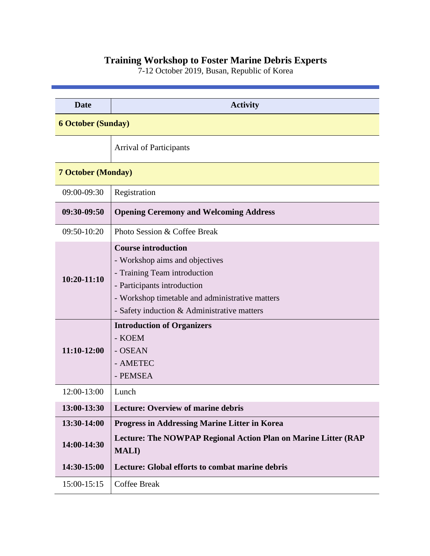## **Training Workshop to Foster Marine Debris Experts**

7-12 October 2019, Busan, Republic of Korea

| <b>Date</b>               | <b>Activity</b>                                                                                                                                                                                                                                                      |  |
|---------------------------|----------------------------------------------------------------------------------------------------------------------------------------------------------------------------------------------------------------------------------------------------------------------|--|
| <b>6 October (Sunday)</b> |                                                                                                                                                                                                                                                                      |  |
|                           | <b>Arrival of Participants</b>                                                                                                                                                                                                                                       |  |
| <b>7 October (Monday)</b> |                                                                                                                                                                                                                                                                      |  |
| 09:00-09:30               | Registration                                                                                                                                                                                                                                                         |  |
| 09:30-09:50               | <b>Opening Ceremony and Welcoming Address</b>                                                                                                                                                                                                                        |  |
| 09:50-10:20               | Photo Session & Coffee Break                                                                                                                                                                                                                                         |  |
| $10:20 - 11:10$           | <b>Course introduction</b><br>- Workshop aims and objectives<br>- Training Team introduction<br>- Participants introduction<br>- Workshop timetable and administrative matters<br>- Safety induction $&$ Administrative matters<br><b>Introduction of Organizers</b> |  |
| 11:10-12:00               | - KOEM<br>- OSEAN<br>- AMETEC<br>- PEMSEA                                                                                                                                                                                                                            |  |
| 12:00-13:00               | Lunch                                                                                                                                                                                                                                                                |  |
| 13:00-13:30               | <b>Lecture: Overview of marine debris</b>                                                                                                                                                                                                                            |  |
| 13:30-14:00               | <b>Progress in Addressing Marine Litter in Korea</b>                                                                                                                                                                                                                 |  |
| 14:00-14:30               | Lecture: The NOWPAP Regional Action Plan on Marine Litter (RAP<br><b>MALI</b> )                                                                                                                                                                                      |  |
| 14:30-15:00               | Lecture: Global efforts to combat marine debris                                                                                                                                                                                                                      |  |
| 15:00-15:15               | <b>Coffee Break</b>                                                                                                                                                                                                                                                  |  |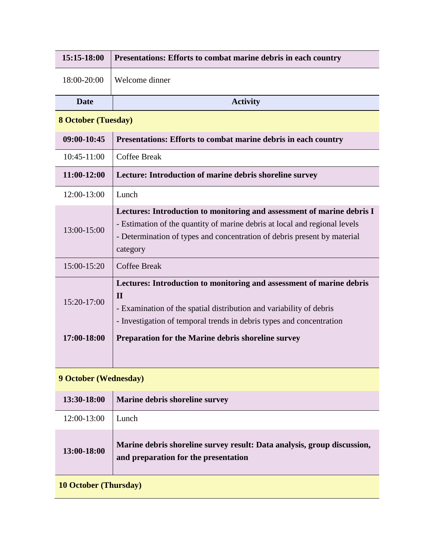| 15:15-18:00                  | Presentations: Efforts to combat marine debris in each country                                                                                                                                                                               |  |
|------------------------------|----------------------------------------------------------------------------------------------------------------------------------------------------------------------------------------------------------------------------------------------|--|
| 18:00-20:00                  | Welcome dinner                                                                                                                                                                                                                               |  |
| <b>Date</b>                  | <b>Activity</b>                                                                                                                                                                                                                              |  |
| <b>8 October (Tuesday)</b>   |                                                                                                                                                                                                                                              |  |
| 09:00-10:45                  | Presentations: Efforts to combat marine debris in each country                                                                                                                                                                               |  |
| 10:45-11:00                  | <b>Coffee Break</b>                                                                                                                                                                                                                          |  |
| 11:00-12:00                  | Lecture: Introduction of marine debris shoreline survey                                                                                                                                                                                      |  |
| 12:00-13:00                  | Lunch                                                                                                                                                                                                                                        |  |
| 13:00-15:00                  | Lectures: Introduction to monitoring and assessment of marine debris I<br>- Estimation of the quantity of marine debris at local and regional levels<br>- Determination of types and concentration of debris present by material<br>category |  |
| 15:00-15:20                  | <b>Coffee Break</b>                                                                                                                                                                                                                          |  |
| 15:20-17:00                  | Lectures: Introduction to monitoring and assessment of marine debris<br>$\mathbf{H}$<br>- Examination of the spatial distribution and variability of debris<br>- Investigation of temporal trends in debris types and concentration          |  |
| 17:00-18:00                  | Preparation for the Marine debris shoreline survey                                                                                                                                                                                           |  |
|                              |                                                                                                                                                                                                                                              |  |
| <b>9 October (Wednesday)</b> |                                                                                                                                                                                                                                              |  |
| 13:30-18:00                  | Marine debris shoreline survey                                                                                                                                                                                                               |  |
| 12:00-13:00                  | Lunch                                                                                                                                                                                                                                        |  |
| 13:00-18:00                  | Marine debris shoreline survey result: Data analysis, group discussion,<br>and preparation for the presentation                                                                                                                              |  |
| <b>10 October (Thursday)</b> |                                                                                                                                                                                                                                              |  |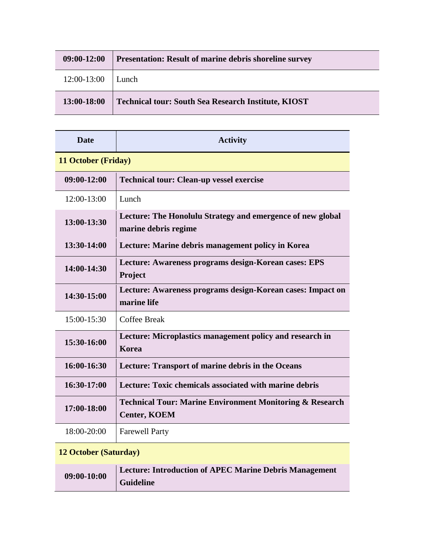| 09:00-12:00 | <b>Presentation: Result of marine debris shoreline survey</b> |
|-------------|---------------------------------------------------------------|
| 12:00-13:00 | Lunch.                                                        |
| 13:00-18:00 | <b>Technical tour: South Sea Research Institute, KIOST</b>    |

| <b>Date</b>                | <b>Activity</b>                                                                            |  |
|----------------------------|--------------------------------------------------------------------------------------------|--|
| <b>11 October (Friday)</b> |                                                                                            |  |
| 09:00-12:00                | <b>Technical tour: Clean-up vessel exercise</b>                                            |  |
| $12:00-13:00$              | Lunch                                                                                      |  |
| 13:00-13:30                | Lecture: The Honolulu Strategy and emergence of new global<br>marine debris regime         |  |
| 13:30-14:00                | Lecture: Marine debris management policy in Korea                                          |  |
| 14:00-14:30                | Lecture: Awareness programs design-Korean cases: EPS<br>Project                            |  |
| 14:30-15:00                | Lecture: Awareness programs design-Korean cases: Impact on<br>marine life                  |  |
| $15:00-15:30$              | Coffee Break                                                                               |  |
| 15:30-16:00                | Lecture: Microplastics management policy and research in<br><b>Korea</b>                   |  |
| 16:00-16:30                | Lecture: Transport of marine debris in the Oceans                                          |  |
| 16:30-17:00                | Lecture: Toxic chemicals associated with marine debris                                     |  |
| 17:00-18:00                | <b>Technical Tour: Marine Environment Monitoring &amp; Research</b><br><b>Center, KOEM</b> |  |
| 18:00-20:00                | <b>Farewell Party</b>                                                                      |  |

## **12 October (Saturday)**

| 09:00-10:00 | <b>Lecture: Introduction of APEC Marine Debris Management</b> |
|-------------|---------------------------------------------------------------|
|             | <b>Guideline</b>                                              |